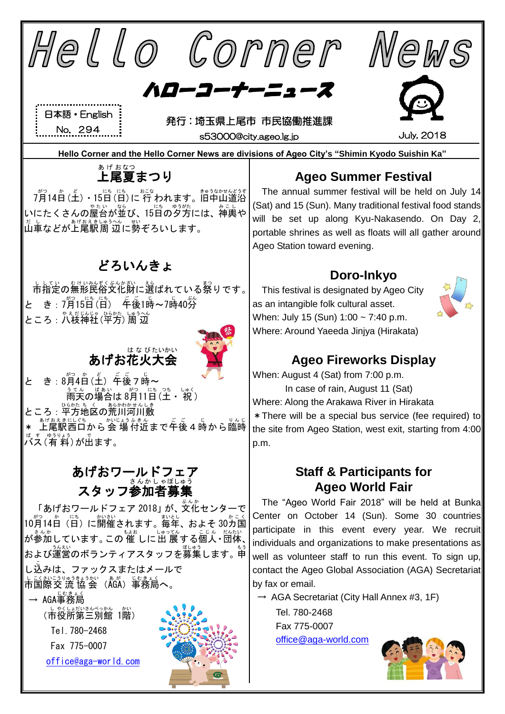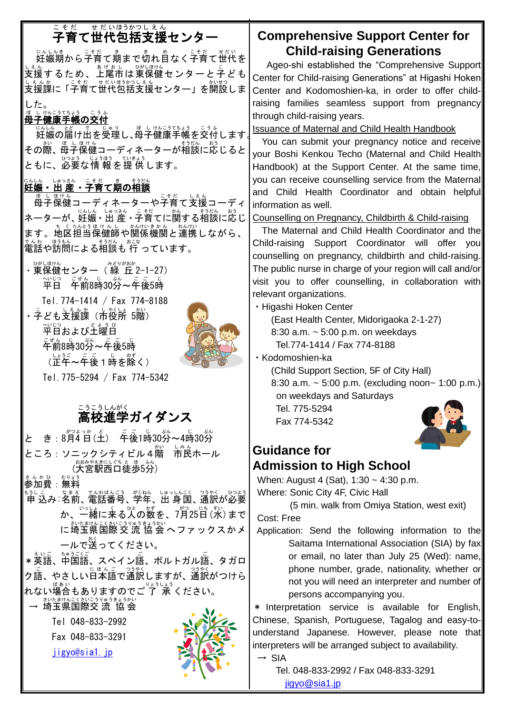# こ<sub>そだ、せだいほうかっしぇん</sub><br>子育て世代包括支援センター

にんしんきゃくこそだてまだい。<br>妊娠期から子育て期まで切れ自なく子育て世代を しぇ。<br>支援するため、上尾市は東保健センターと子ども しぇんゕ゠゠゠゠゠゠ゖゖほぅゃっしぇん<br>支援課に「子育て世代包括支援センター」を開設しま した。

## <sub>ぼ しけんこうでもょう</sub><br>母子健康手帳の交付

<u>いしん。どもしています</u>。<br>妊娠の届け出を受理し、母子健康手帳を交付します。<sup>1</sup> その際、母子保健コーディネーターが相談に応じると ともに、必要な情 報を提 供します。

## にんしん ままる。こそだ**て期の相談**<br>**妊娠 - 出 産 - 子育て期の相談**

<sub>ぼしほけん</sub><br>母子保健コーディネーターや子育て支援コーディ ネーターが、妊娠・出 産・子育てに関する相談に応じ ます。地区担当保健師や関係機関と連携しながら、 でんゎ<br>電話や訪問による相談も 行 っています。

・<sup>改しほけん</sup><br>・東保健センター(緑 丘 2-1-27) 平日 へいじつ 午前 ごぜん 8時 じ 30分 ぷん ~午後 ご ご 5時 じ Tel.774-1414 / Fax 774-8188 ・ <sup>こ</sup>とも支援課(市役所 5階) 〜、。。<br>平日および土曜日 <sub>こぜん じ</sub><br>午前8時30分~午後5時 (正午 しょうご ~午後 ご ご 1時 じ を除 のぞ く)



Tel.775-5294 / Fax 774-5342

# <u>こうこうしんがく</u><br>高校進学ガイダンス

と き: 8月4日(土) 年後1時30労~4時30労 ところ:ソニックシティビル4階 かい 市民 しみん ホール (大宮駅西口徒歩5分)

まんか <u>めいまう</u><br>参加費:無料

申 もうし 込 こ み:名前 なまえ 、電話番号 でんわばんごう 、学年 がくねん 、出 身 しゅっしん 国 こく 、通訳 つうやく が必要 ひつよう ゕ、一緒に来る人の数を、7月25日(水)まで に埼玉県国際 交 流 協 会 ヘファックスかメ ールで送ってください。

\* 英語、中国語、スペイン語、ポルトガル語、タガロ <u>ク語、やさしい日本語で通訳しますが、通訳がつけら</u> れない<sup>場合</sup>もありますのでご 了 承 ください。

→ 埼玉県国際交 流 協会

Tel 048-833-2992 Fax 048-833-3291

[jigyo@sia1.jp](mailto:jigyo@sia1.jp)



## **Comprehensive Support Center for Child-raising Generations**

 Ageo-shi established the "Comprehensive Support Center for Child-raising Generations" at Higashi Hoken Center and Kodomoshien-ka, in order to offer childraising families seamless support from pregnancy through child-raising years.

Issuance of Maternal and Child Health Handbook

You can submit your pregnancy notice and receive your Boshi Kenkou Techo (Maternal and Child Health Handbook) at the Support Center. At the same time, you can receive counselling service from the Maternal and Child Health Coordinator and obtain helpful information as well.

Counselling on Pregnancy, Childbirth & Child-raising

 The Maternal and Child Health Coordinator and the Child-raising Support Coordinator will offer you counselling on pregnancy, childbirth and child-raising. The public nurse in charge of your region will call and/or visit you to offer counselling, in collaboration with relevant organizations.

・Higashi Hoken Center

(East Health Center, Midorigaoka 2-1-27) 8:30 a.m. ~ 5:00 p.m. on weekdays Tel.774-1414 / Fax 774-8188

・Kodomoshien-ka

(Child Support Section, 5F of City Hall) 8:30 a.m.  $\sim$  5:00 p.m. (excluding noon~ 1:00 p.m.) on weekdays and Saturdays

 Tel. 775-5294 Fax 774-5342



### **Guidance for Admission to High School**

When: August 4 (Sat), 1:30 ~ 4:30 p.m. Where: Sonic City 4F, Civic Hall

(5 min. walk from Omiya Station, west exit) Cost: Free

Application: Send the following information to the Saitama International Association (SIA) by fax or email, no later than July 25 (Wed): name, phone number, grade, nationality, whether or not you will need an interpreter and number of persons accompanying you.

\* Interpretation service is available for English, Chinese, Spanish, Portuguese, Tagalog and easy-tounderstand Japanese. However, please note that interpreters will be arranged subject to availability.

 $\rightarrow$  SIA

Tel. 048-833-2992 / Fax 048-833-3291 [jigyo@sia1.jp](mailto:jigyo@sia1.jp)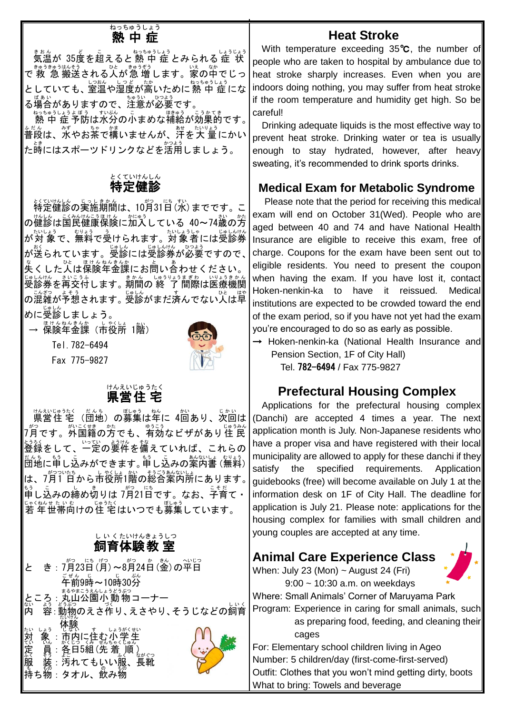#### 熱中症 <mark>ねっちゅ</mark>うしょう

まもん<br>気温が 35度を超えると 熱 中 症 とみられる 症 状 ─ ≛ゅうきゅうはそう。<br>で 救 急 搬送される人が急 増します。家の中でじっ としていても、室温や湿度が高いために熱 中 症にな る場合 ばあい がありますので、注意 ちゅうい が必要 ひつよう です。

ねっちゅうしょう ぼう すいぶん こう こうかてき 。|<br>|熱 中 症 予防は水分の小まめな補給が効果的です。| 。<sub>。。。。</sub><br>普段は、水やお茶で構いませんが、汗を大 量にかい た<sup>5</sup><br>た時にはスポーツドリンクなどを活用しましょう。

#### 特定 健 診 とくていけんしん

<u>ょくていたしょ</u><br>特定健診の実施期間は、10月31日 (水) までです。こ <sub>の健診は国民健康保険に加入している 40~74歳の方</sub> が対 象 たいしょう で、無料 むりょう で受 う けられます。対象者 たいしょうしゃ には受診券 じゅしんけん が送 おく られています。受診 じゅしん には受診券 じゅしんけん が必要 ひつよう ですので、 、。<br>失くした人は保険年金課にお問い合わせください。 じゅしんけん さいこうふ<br>受診券を再交付します。期間の 終 了 間際は医療機関 *○*混雑が予想されます。受診がまだ済んでない人は早 。<br>めに受診しましょう。

→ 保険年金課(市役所 1階)

Tel.782-6494

Fax 775-9827



<sub>は、むしゃ、たんも、の募集は年に 4回あり、次回は<br>県営住 宅 (団地) の募集は年に 4回あり、次回は</sub> フ<sup>\*;</sup>?でき、。<br>7月です。外国籍の方でも、有効なビザがあり住 民 ジジ<br>登録をして、一定の要件を備えていれば、これらの たんち ……<br>団地に申し込みができます。申し込みの案内書 (無料) | は、7月1日から市役所1階の総合案内所にあります。 。<br>申し込みの締め切りは 7月21日です。なお、子育て・ <u>いへんまたいも</u><br>若 年世帯向けの住 宅はいつでも募集しています。

#### 飼育 体験 教 室 しい くたいけんきょうしつ

|         | か きん<br>がつ<br>にち げつ<br>がつ<br>へいじつ<br>き: 7月23日 (月) ~8月24日 (金)<br>の平日                             |  |
|---------|-------------------------------------------------------------------------------------------------|--|
|         | ぷん<br>ごぜん じ<br>午前9時~10時30分<br>まるやまこうえんしょうどうぶつ<br> ところ:丸山公園小動物コーナー<br> 内 容:動物のえさ作り、えさやり、そうじなどの飼育 |  |
| な対び定ぶ服き | しょうがくせい<br><sub>具:各</sub> 百5組(先着<br>順<br>ながぐつ<br>褰 : 汚れてもいい<br>長靴<br> 持ち物:タオル、飲み物               |  |

## **Heat Stroke**

 With temperature exceeding 35℃, the number of people who are taken to hospital by ambulance due to heat stroke sharply increases. Even when you are indoors doing nothing, you may suffer from heat stroke if the room temperature and humidity get high. So be careful!

Drinking adequate liquids is the most effective way to prevent heat stroke. Drinking water or tea is usually enough to stay hydrated, however, after heavy sweating, it's recommended to drink sports drinks.

## **Medical Exam for Metabolic Syndrome**

Please note that the period for receiving this medical exam will end on October 31(Wed). People who are aged between 40 and 74 and have National Health Insurance are eligible to receive this exam, free of charge. Coupons for the exam have been sent out to eligible residents. You need to present the coupon when having the exam. If you have lost it, contact Hoken-nenkin-ka to have it reissued. Medical institutions are expected to be crowded toward the end of the exam period, so if you have not yet had the exam, you're encouraged to do so as early as possible.

→ Hoken-nenkin-ka (National Health Insurance and Pension Section, 1F of City Hall)

Tel. 782-6494 / Fax 775-9827

### **Prefectural Housing Complex**

Applications for the prefectural housing complex (Danchi) are accepted 4 times a year. The next application month is July. Non-Japanese residents who have a proper visa and have registered with their local municipality are allowed to apply for these danchi if they satisfy the specified requirements. Application guidebooks (free) will become available on July 1 at the information desk on 1F of City Hall. The deadline for application is July 21. Please note: applications for the housing complex for families with small children and young couples are accepted at any time.

## **Animal Care Experience Class**

When: July 23 (Mon) ~ August 24 (Fri) 9:00 ~ 10:30 a.m. on weekdays

Where: Small Animals' Corner of Maruyama Park Program: Experience in caring for small animals, such as preparing food, feeding, and cleaning their

cages

For: Elementary school children living in Ageo Number: 5 children/day (first-come-first-served) Outfit: Clothes that you won't mind getting dirty, boots What to bring: Towels and beverage